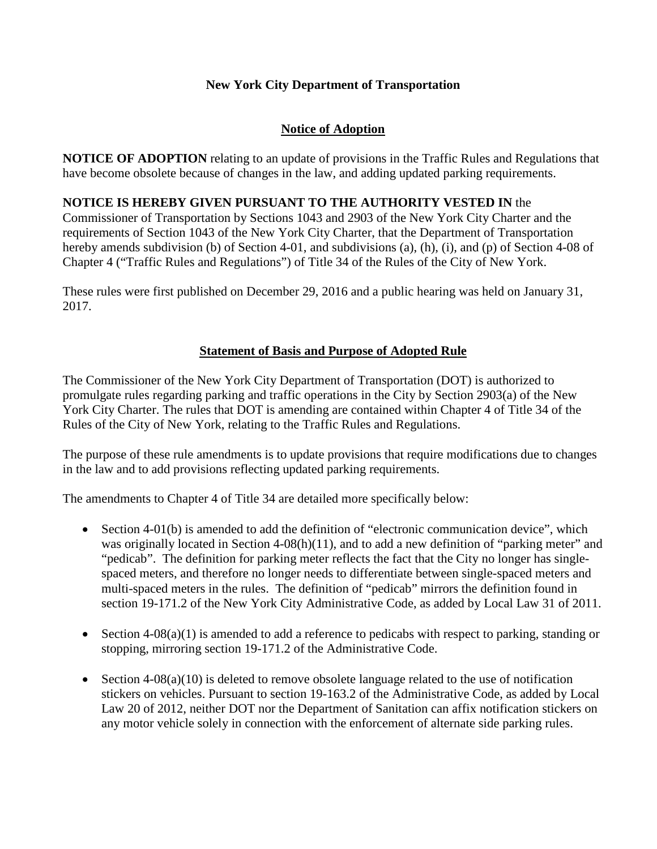# **New York City Department of Transportation**

# **Notice of Adoption**

**NOTICE OF ADOPTION** relating to an update of provisions in the Traffic Rules and Regulations that have become obsolete because of changes in the law, and adding updated parking requirements.

## **NOTICE IS HEREBY GIVEN PURSUANT TO THE AUTHORITY VESTED IN** the

Commissioner of Transportation by Sections 1043 and 2903 of the New York City Charter and the requirements of Section 1043 of the New York City Charter, that the Department of Transportation hereby amends subdivision (b) of Section 4-01, and subdivisions (a), (h), (i), and (p) of Section 4-08 of Chapter 4 ("Traffic Rules and Regulations") of Title 34 of the Rules of the City of New York.

These rules were first published on December 29, 2016 and a public hearing was held on January 31, 2017.

## **Statement of Basis and Purpose of Adopted Rule**

The Commissioner of the New York City Department of Transportation (DOT) is authorized to promulgate rules regarding parking and traffic operations in the City by Section 2903(a) of the New York City Charter. The rules that DOT is amending are contained within Chapter 4 of Title 34 of the Rules of the City of New York, relating to the Traffic Rules and Regulations.

The purpose of these rule amendments is to update provisions that require modifications due to changes in the law and to add provisions reflecting updated parking requirements.

The amendments to Chapter 4 of Title 34 are detailed more specifically below:

- Section 4-01(b) is amended to add the definition of "electronic communication device", which was originally located in Section  $4-08(h)(11)$ , and to add a new definition of "parking meter" and "pedicab". The definition for parking meter reflects the fact that the City no longer has singlespaced meters, and therefore no longer needs to differentiate between single-spaced meters and multi-spaced meters in the rules. The definition of "pedicab" mirrors the definition found in section 19-171.2 of the New York City Administrative Code, as added by Local Law 31 of 2011.
- Section  $4-08(a)(1)$  is amended to add a reference to pedicabs with respect to parking, standing or stopping, mirroring section 19-171.2 of the Administrative Code.
- Section 4-08(a)(10) is deleted to remove obsolete language related to the use of notification stickers on vehicles. Pursuant to section 19-163.2 of the Administrative Code, as added by Local Law 20 of 2012, neither DOT nor the Department of Sanitation can affix notification stickers on any motor vehicle solely in connection with the enforcement of alternate side parking rules.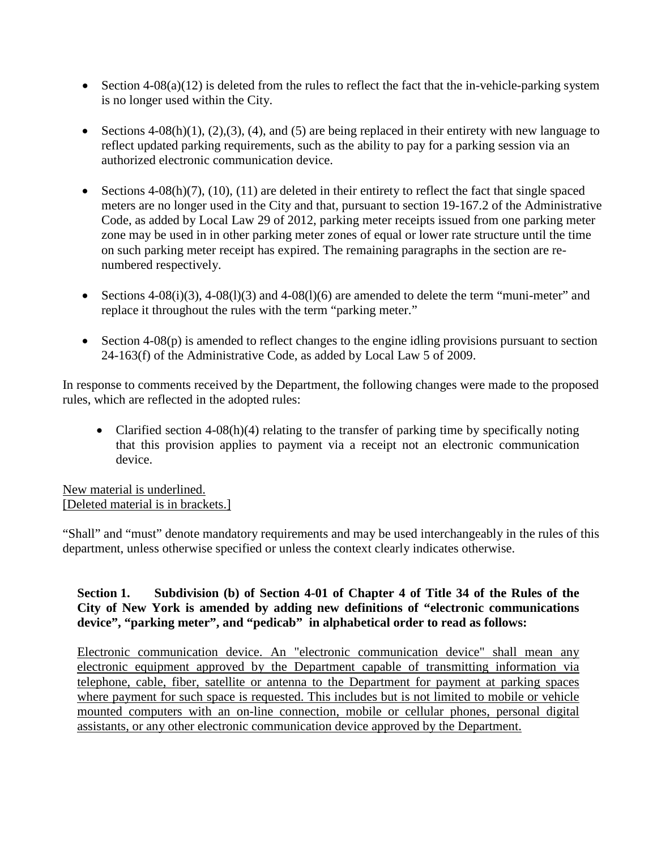- Section 4-08(a)(12) is deleted from the rules to reflect the fact that the in-vehicle-parking system is no longer used within the City.
- Sections  $4-08(h)(1)$ ,  $(2),(3)$ ,  $(4)$ , and  $(5)$  are being replaced in their entirety with new language to reflect updated parking requirements, such as the ability to pay for a parking session via an authorized electronic communication device.
- Sections  $4-08(h)(7)$ ,  $(10)$ ,  $(11)$  are deleted in their entirety to reflect the fact that single spaced meters are no longer used in the City and that, pursuant to section 19-167.2 of the Administrative Code, as added by Local Law 29 of 2012, parking meter receipts issued from one parking meter zone may be used in in other parking meter zones of equal or lower rate structure until the time on such parking meter receipt has expired. The remaining paragraphs in the section are renumbered respectively.
- Sections  $4-08(i)(3)$ ,  $4-08(1)(3)$  and  $4-08(1)(6)$  are amended to delete the term "muni-meter" and replace it throughout the rules with the term "parking meter."
- Section 4-08(p) is amended to reflect changes to the engine idling provisions pursuant to section 24-163(f) of the Administrative Code, as added by Local Law 5 of 2009.

In response to comments received by the Department, the following changes were made to the proposed rules, which are reflected in the adopted rules:

• Clarified section 4-08(h)(4) relating to the transfer of parking time by specifically noting that this provision applies to payment via a receipt not an electronic communication device.

New material is underlined. [Deleted material is in brackets.]

"Shall" and "must" denote mandatory requirements and may be used interchangeably in the rules of this department, unless otherwise specified or unless the context clearly indicates otherwise.

# **Section 1. Subdivision (b) of Section 4-01 of Chapter 4 of Title 34 of the Rules of the City of New York is amended by adding new definitions of "electronic communications device", "parking meter", and "pedicab" in alphabetical order to read as follows:**

Electronic communication device. An "electronic communication device" shall mean any electronic equipment approved by the Department capable of transmitting information via telephone, cable, fiber, satellite or antenna to the Department for payment at parking spaces where payment for such space is requested. This includes but is not limited to mobile or vehicle mounted computers with an on-line connection, mobile or cellular phones, personal digital assistants, or any other electronic communication device approved by the Department.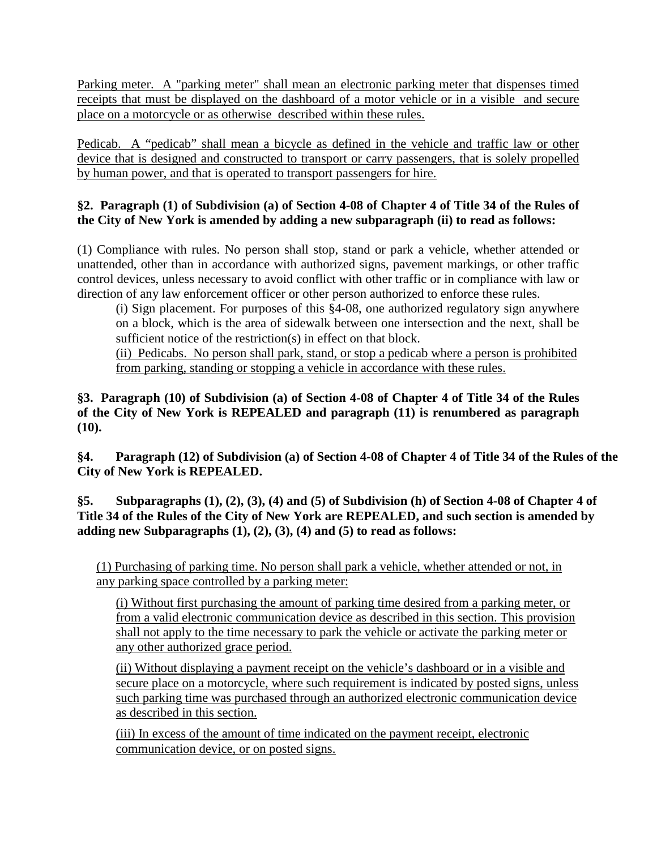Parking meter. A "parking meter" shall mean an electronic parking meter that dispenses timed receipts that must be displayed on the dashboard of a motor vehicle or in a visible and secure place on a motorcycle or as otherwise described within these rules.

Pedicab. A "pedicab" shall mean a bicycle as defined in the vehicle and traffic law or other device that is designed and constructed to transport or carry passengers, that is solely propelled by human power, and that is operated to transport passengers for hire.

## **§2. Paragraph (1) of Subdivision (a) of Section 4-08 of Chapter 4 of Title 34 of the Rules of the City of New York is amended by adding a new subparagraph (ii) to read as follows:**

(1) Compliance with rules. No person shall stop, stand or park a vehicle, whether attended or unattended, other than in accordance with authorized signs, pavement markings, or other traffic control devices, unless necessary to avoid conflict with other traffic or in compliance with law or direction of any law enforcement officer or other person authorized to enforce these rules.

(i) Sign placement. For purposes of this §4-08, one authorized regulatory sign anywhere on a block, which is the area of sidewalk between one intersection and the next, shall be sufficient notice of the restriction(s) in effect on that block.

(ii) Pedicabs. No person shall park, stand, or stop a pedicab where a person is prohibited from parking, standing or stopping a vehicle in accordance with these rules.

**§3. Paragraph (10) of Subdivision (a) of Section 4-08 of Chapter 4 of Title 34 of the Rules of the City of New York is REPEALED and paragraph (11) is renumbered as paragraph (10).**

**§4. Paragraph (12) of Subdivision (a) of Section 4-08 of Chapter 4 of Title 34 of the Rules of the City of New York is REPEALED.**

**§5. Subparagraphs (1), (2), (3), (4) and (5) of Subdivision (h) of Section 4-08 of Chapter 4 of Title 34 of the Rules of the City of New York are REPEALED, and such section is amended by adding new Subparagraphs (1), (2), (3), (4) and (5) to read as follows:**

(1) Purchasing of parking time. No person shall park a vehicle, whether attended or not, in any parking space controlled by a parking meter:

(i) Without first purchasing the amount of parking time desired from a parking meter, or from a valid electronic communication device as described in this section. This provision shall not apply to the time necessary to park the vehicle or activate the parking meter or any other authorized grace period.

(ii) Without displaying a payment receipt on the vehicle's dashboard or in a visible and secure place on a motorcycle, where such requirement is indicated by posted signs, unless such parking time was purchased through an authorized electronic communication device as described in this section.

(iii) In excess of the amount of time indicated on the payment receipt, electronic communication device, or on posted signs.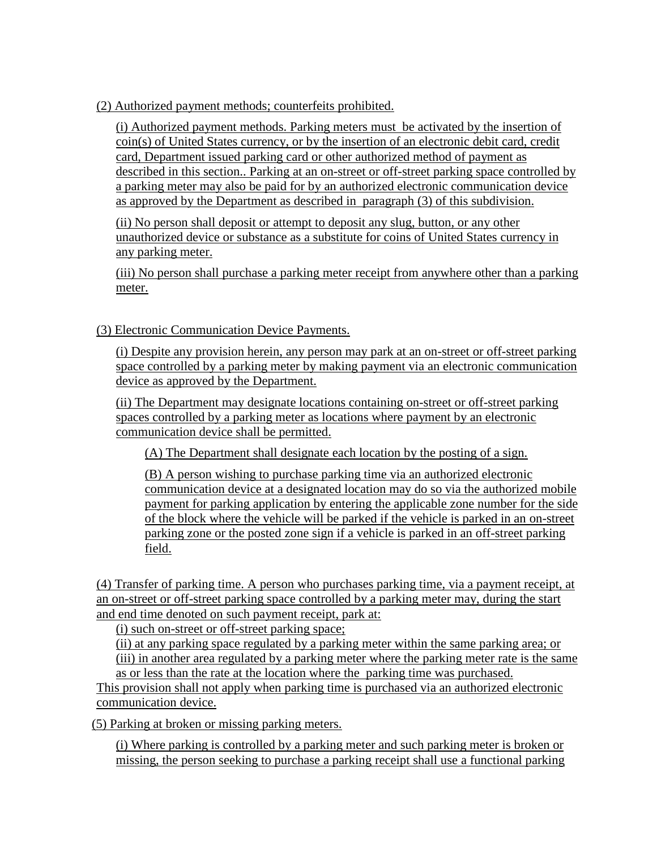(2) Authorized payment methods; counterfeits prohibited.

(i) Authorized payment methods. Parking meters must be activated by the insertion of coin(s) of United States currency, or by the insertion of an electronic debit card, credit card, Department issued parking card or other authorized method of payment as described in this section.. Parking at an on-street or off-street parking space controlled by a parking meter may also be paid for by an authorized electronic communication device as approved by the Department as described in paragraph (3) of this subdivision.

(ii) No person shall deposit or attempt to deposit any slug, button, or any other unauthorized device or substance as a substitute for coins of United States currency in any parking meter.

(iii) No person shall purchase a parking meter receipt from anywhere other than a parking meter.

# (3) Electronic Communication Device Payments.

(i) Despite any provision herein, any person may park at an on-street or off-street parking space controlled by a parking meter by making payment via an electronic communication device as approved by the Department.

(ii) The Department may designate locations containing on-street or off-street parking spaces controlled by a parking meter as locations where payment by an electronic communication device shall be permitted.

(A) The Department shall designate each location by the posting of a sign.

(B) A person wishing to purchase parking time via an authorized electronic communication device at a designated location may do so via the authorized mobile payment for parking application by entering the applicable zone number for the side of the block where the vehicle will be parked if the vehicle is parked in an on-street parking zone or the posted zone sign if a vehicle is parked in an off-street parking field.

(4) Transfer of parking time. A person who purchases parking time, via a payment receipt, at an on-street or off-street parking space controlled by a parking meter may, during the start and end time denoted on such payment receipt, park at:

(i) such on-street or off-street parking space;

(ii) at any parking space regulated by a parking meter within the same parking area; or (iii) in another area regulated by a parking meter where the parking meter rate is the same as or less than the rate at the location where the parking time was purchased.

This provision shall not apply when parking time is purchased via an authorized electronic communication device.

(5) Parking at broken or missing parking meters.

(i) Where parking is controlled by a parking meter and such parking meter is broken or missing, the person seeking to purchase a parking receipt shall use a functional parking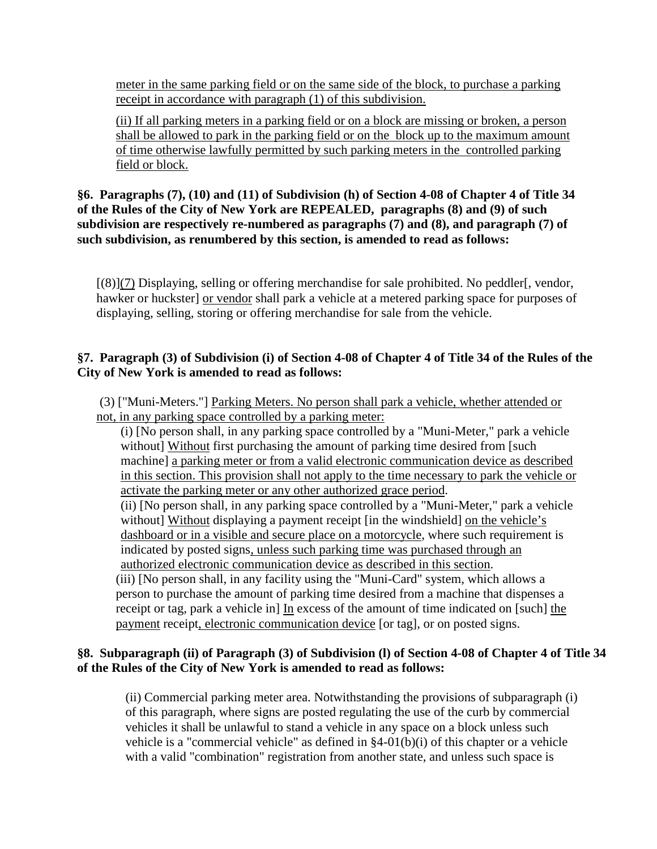meter in the same parking field or on the same side of the block, to purchase a parking receipt in accordance with paragraph (1) of this subdivision.

(ii) If all parking meters in a parking field or on a block are missing or broken, a person shall be allowed to park in the parking field or on the block up to the maximum amount of time otherwise lawfully permitted by such parking meters in the controlled parking field or block.

### **§6. Paragraphs (7), (10) and (11) of Subdivision (h) of Section 4-08 of Chapter 4 of Title 34 of the Rules of the City of New York are REPEALED, paragraphs (8) and (9) of such subdivision are respectively re-numbered as paragraphs (7) and (8), and paragraph (7) of such subdivision, as renumbered by this section, is amended to read as follows:**

 $[(8)](7)$  Displaying, selling or offering merchandise for sale prohibited. No peddler $[$ , vendor, hawker or huckster] or vendor shall park a vehicle at a metered parking space for purposes of displaying, selling, storing or offering merchandise for sale from the vehicle.

## **§7. Paragraph (3) of Subdivision (i) of Section 4-08 of Chapter 4 of Title 34 of the Rules of the City of New York is amended to read as follows:**

(3) ["Muni-Meters."] Parking Meters. No person shall park a vehicle, whether attended or not, in any parking space controlled by a parking meter:

(i) [No person shall, in any parking space controlled by a "Muni-Meter," park a vehicle without] Without first purchasing the amount of parking time desired from [such machine] a parking meter or from a valid electronic communication device as described in this section. This provision shall not apply to the time necessary to park the vehicle or activate the parking meter or any other authorized grace period.

(ii) [No person shall, in any parking space controlled by a "Muni-Meter," park a vehicle without] Without displaying a payment receipt [in the windshield] on the vehicle's dashboard or in a visible and secure place on a motorcycle, where such requirement is indicated by posted signs, unless such parking time was purchased through an authorized electronic communication device as described in this section.

(iii) [No person shall, in any facility using the "Muni-Card" system, which allows a person to purchase the amount of parking time desired from a machine that dispenses a receipt or tag, park a vehicle in] In excess of the amount of time indicated on [such] the payment receipt, electronic communication device [or tag], or on posted signs.

### **§8. Subparagraph (ii) of Paragraph (3) of Subdivision (l) of Section 4-08 of Chapter 4 of Title 34 of the Rules of the City of New York is amended to read as follows:**

(ii) Commercial parking meter area. Notwithstanding the provisions of subparagraph (i) of this paragraph, where signs are posted regulating the use of the curb by commercial vehicles it shall be unlawful to stand a vehicle in any space on a block unless such vehicle is a "commercial vehicle" as defined in  $\S4-01(b)(i)$  of this chapter or a vehicle with a valid "combination" registration from another state, and unless such space is